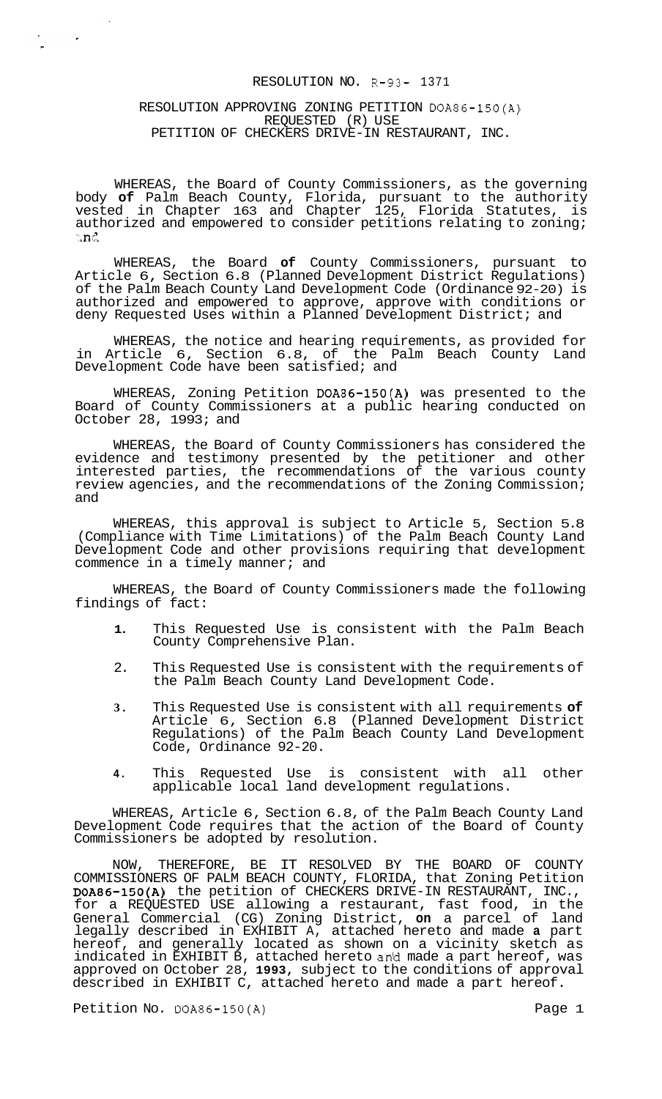# RESOLUTION NO. R-93- 1371

## RESOLUTION APPROVING ZONING PETITION DOA86-150(A) REQUESTED (R) USE PETITION OF CHECKERS DRIVE-IN RESTAURANT, INC.

 $\mathcal{L}^{\text{max}}$  and  $\mathcal{L}^{\text{max}}$ 

WHEREAS, the Board of County Commissioners, as the governing body **of** Palm Beach County, Florida, pursuant to the authority vested in Chapter 163 and Chapter 125, Florida Statutes, is authorized and empowered to consider petitions relating to zoning;  $\mathbb{R}$ **n** $\mathbb{C}$ 

WHEREAS, the Board **of** County Commissioners, pursuant to Article 6, Section 6.8 (Planned Development District Regulations) of the Palm Beach County Land Development Code (Ordinance 92-20) is authorized and empowered to approve, approve with conditions or deny Requested Uses within a Planned Development District; and

WHEREAS, the notice and hearing requirements, as provided for in Article 6, Section 6.8, of the Palm Beach County Land Development Code have been satisfied; and

WHEREAS, Zoning Petition DOA86-150(A) was presented to the Board of County Commissioners at a public hearing conducted on October 28, 1993; and

WHEREAS, the Board of County Commissioners has considered the evidence and testimony presented by the petitioner and other interested parties, the recommendations of the various county review agencies, and the recommendations of the Zoning Commission; and

WHEREAS, this approval is subject to Article 5, Section 5.8 (Compliance with Time Limitations) of the Palm Beach County Land Development Code and other provisions requiring that development commence in a timely manner; and

WHEREAS, the Board of County Commissioners made the following findings of fact:

- **1.** This Requested Use is consistent with the Palm Beach County Comprehensive Plan.
- 2. This Requested Use is consistent with the requirements of the Palm Beach County Land Development Code.
- **3.** This Requested Use is consistent with all requirements **of**  Article 6, Section 6.8 (Planned Development District Regulations) of the Palm Beach County Land Development Code, Ordinance 92-20.
- **4.** This Requested Use is consistent with all other applicable local land development regulations.

WHEREAS, Article 6, Section 6.8, of the Palm Beach County Land Development Code requires that the action of the Board of County Commissioners be adopted by resolution.

NOW, THEREFORE, BE IT RESOLVED BY THE BOARD OF COUNTY COMMISSIONERS OF PALM BEACH COUNTY, FLORIDA, that Zoning Petition DOA86-150(A) the petition of CHECKERS DRIVE-IN RESTAURANT, INC., for a REQUESTED USE allowing a restaurant, fast food, in the General Commercial (CG) Zoning District, **on** a parcel of land legally described in EXHIBIT A, attached hereto and made **a** part hereof, and generally located as shown on a vicinity sketch as indicated in EXHIBIT B, attached hereto anid made a part hereof, was approved on October 28, **1993,** subject to the conditions of approval described in EXHIBIT C, attached hereto and made a part hereof.

Petition No. DOA86-150(A) Petition No. DOA86-150(A)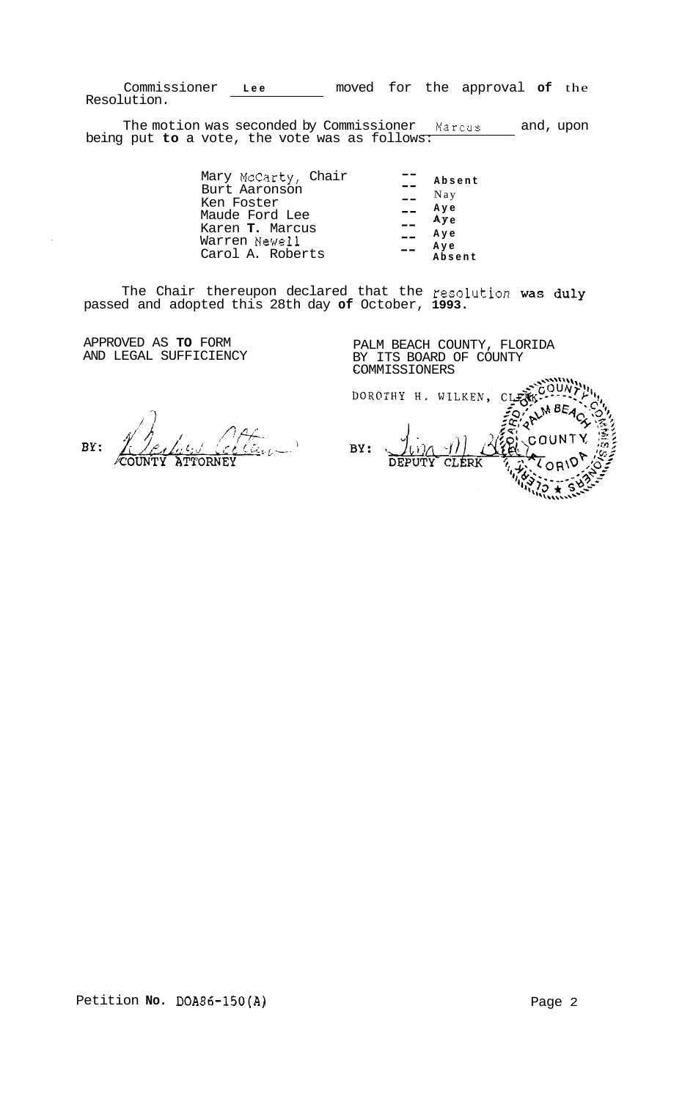Commissioner **Lee** moved for the approval **of** the Resolution.

The motion was seconded by Commissioner **Marcus** and, upon being put **to** a vote, the vote was as follows:

> Mary McCarty, Chair Burt Aaronson Ken Foster Maude Ford Lee Karen **T.** Marcus Warren Newel1 Carol A. Roberts -- **Absent**  Nay **Aye AY e Aye Aye Absent**   $-\, -$ -- -- --  $- - -$

The Chair thereupon declared that the resolution was duly passed and adopted this 28th day **of** October, **1993.** 

APPROVED AS **TO** FORM AND LEGAL SUFFICIENCY

PALM BEACH COUNTY, FLORIDA BY ITS BOARD OF COUNTY COMMISSIONERS<br>DOROTHY H. WILKEN, CLECK-M BEACX **OUNTY** BY: DEPUTY **CLERK** 

<u>lline</u> BY: **ATTORNEY**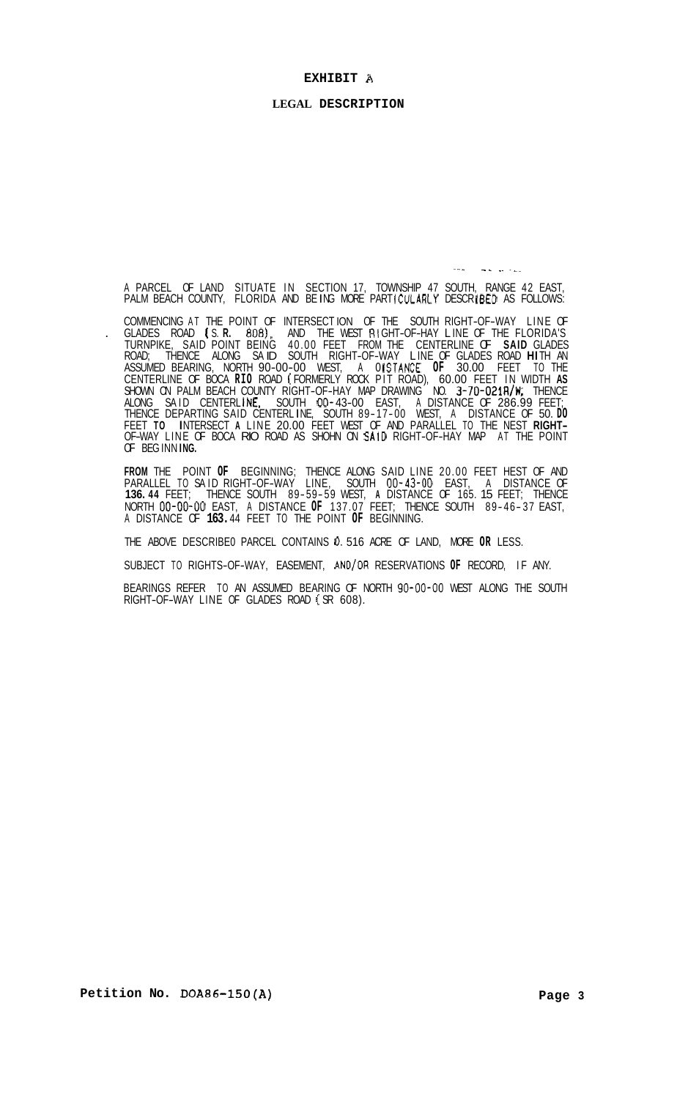#### **EXHIBIT A**

### **LEGAL DESCRIPTION**

A PARCEL OF LAND SITUATE IN SECTION 17, TOWNSHIP 47 SOUTH, RANGE 42 EAST,<br>PALM BEACH COUNTY, FLORIDA AND BEING MORE PARTICULARLY DESCRIBED AS FOLLOWS:

- - .~ .-.

COMMENCING AT THE POINT OF INTERSECT ION OF THE SOUTH RIGHT-OF-WAY LINE OF . GLADES ROAD ( S. **R. 8081,** AND THE WEST RI GHT-OF-HAY L INE OF THE FLORIDA'S TURNPIKE, SAID POINT BEING 40.00 FEET FROM THE CENTERLINE OF **SAID** GLADES ROAD; THENCE ALONG SA ID SOUTH RIGHT-OF-WAY L INE OF GLADES ROAD **HI** TH AN ASSUMED BEARING, NORTH 90-00-00 WEST, A 0 ISTANCE **OF** 30.00 FEET TO THE CENTERLINE OF BOCA **RIO** ROAD ( FORMERLY ROCK PIT ROAD), 60.00 FEET IN WIDTH **AS**  SHOWN ON PALM BEACH COUNTY RIGHT-OF-HAY MAP DRAWING NO. 3-70-021R/W; THENCE ALONG SAID CENTERLINE, SOUTH 00-43-00 EAST, A DISTANCE OF 286.99 FEET; THENCE DEPARTING SAID CENTERLINE, SOUTH 89-17-00 WEST, A DISTANCE OF 50. DO FEET **TO** I NTERSECT **A** LINE 20.00 FEET WEST OF AND PARALLEL TO THE NEST **RIGHT-** OF-WAY LINE OF BOCA RIO ROAD AS SHOHN ON SA10 RIGHT-OF-HAY MAP AT THE POINT OF BEG INN I **NG.** 

**FROM** THE POINT **OF** BEGINNING; THENCE ALONG SAID LINE 20.00 FEET HEST OF AND PARALLEL TO SA ID RIGHT-OF-WAY LINE, SOUTH **00-43-00** EAST, A DISTANCE OF **136. 44** FEET; THENCE SOUTH 89-59-59 WEST, **A** DISTANCE OF 165. 15 FEET; THENCE NORTH 00-00-00 EAST, A DISTANCE **OF** 137.07 FEET; THENCE SOUTH 89- 46- 37 EAST, A DISTANCE OF **163.** 44 FEET TO THE POINT **OF** BEGINNING.

THE ABOVE DESCRIBE0 PARCEL CONTAINS 0. 516 ACRE OF LAND, MORE **OR** LESS.

SUBJECT TO RIGHTS-OF-WAY, EASEMENT, AND/OR RESERVATIONS **OF** RECORD, IF ANY.

BEARINGS REFER TO AN ASSUMED BEARING OF NORTH 90-00-00 WEST ALONG THE SOUTH<br>RIGHT-OF-WAY LINE OF GLADES ROAD (SR 608).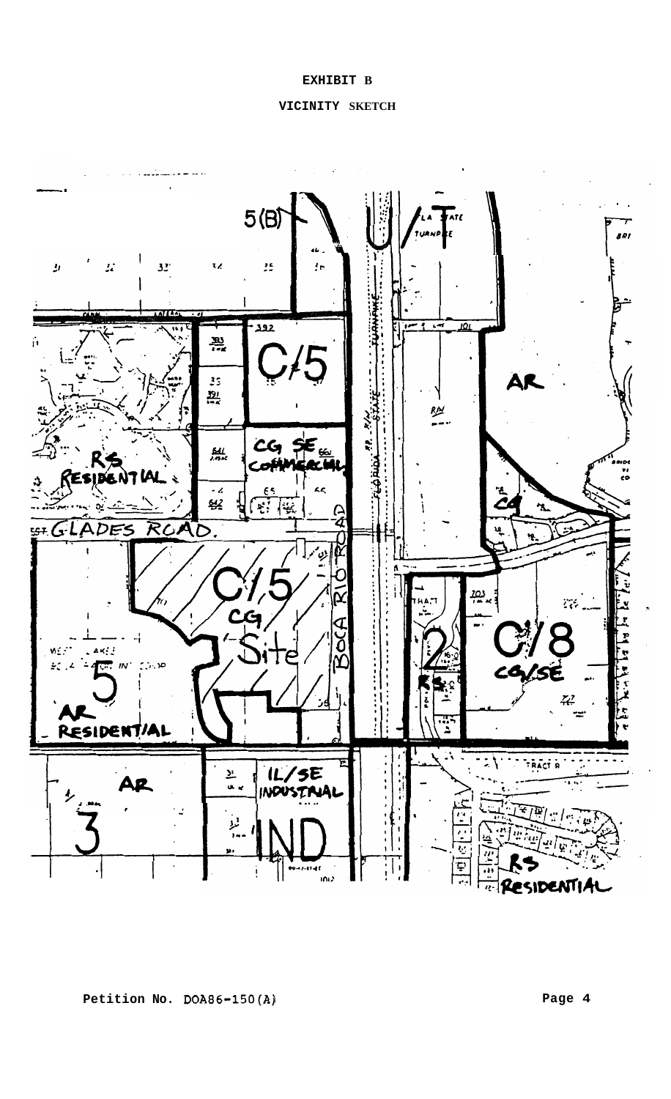## **EXHIBIT B**

## **VICINITY SKETCH**

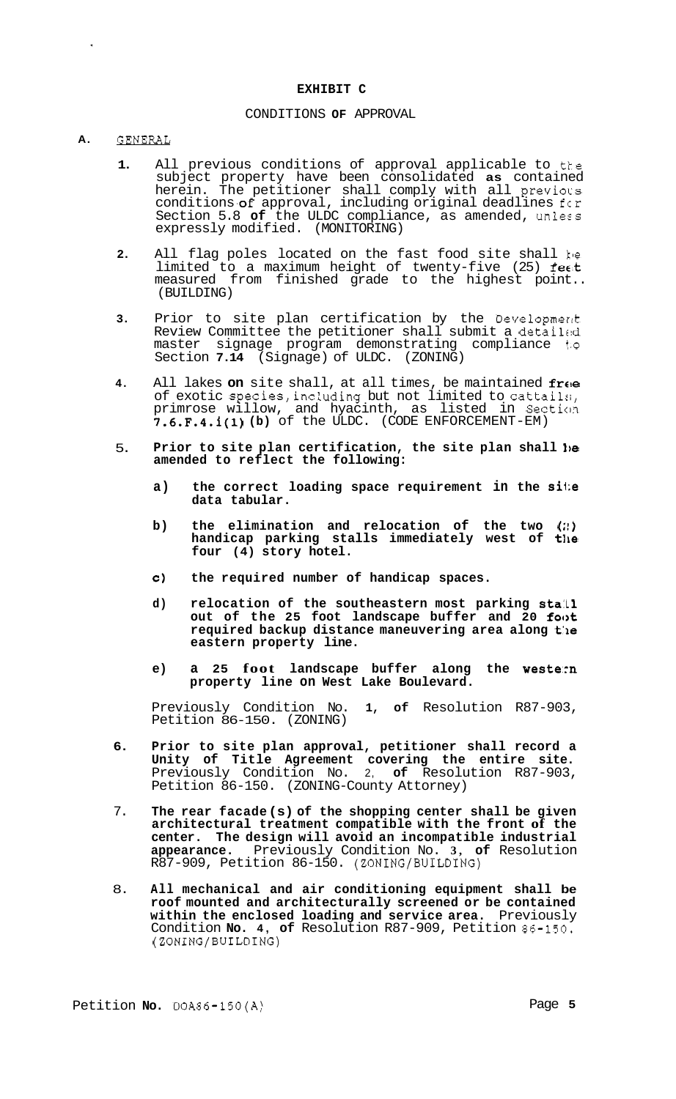#### **EXHIBIT C**

## CONDITIONS **OF** APPROVAL

# A. GENERAL

- **1.**  All previous conditions of approval applicable to the subject property have been consolidated **as** contained herein. The petitioner shall comply with all previocs conditions **of** approval, including original deadlines for Section 5.8 **of** the ULDC compliance, as amended, unless expressly modified. (MONITORING)
- **2.**  All flag poles located on the fast food site shall ke limited to a maximum height of twenty-five (25) feat measured from finished grade to the highest point.. (BUILDING)
- **3.**  Prior to site plan certification by the Developmerlt Review Committee the petitioner shall submit a detai1r:d master signage program demonstrating compliance t.o Section **7.14** (Signage) of ULDC. (ZONING)
- **4.**  All lakes on site shall, at all times, be maintained free of exotic species,including but not limited to cattail:;, primrose willow, and hyacinth, as listed in Secticm 7.6.F.4.i(1) **(b)** of the ULDC. (CODE ENFORCEMENT-EM)
- 5. Prior to site plan certification, the site plan shall be **amended to reflect the following:** 
	- **a) the correct loading space requirement in the si1;e data tabular.**
	- **b**) the elimination and relocation of the two (2) handicap parking stalls immediately west of **t**h**e four (4) story hotel.**
	- **c) the required number of handicap spaces.**
	- **d) relocation of the southeastern most parking sta:Ll**  out of the 25 foot landscape buffer and 20 foot **required backup distance maneuvering area along t:le eastern property line.**
	- **e) a 25 foot landscape buffer along the western property line on West Lake Boulevard.**

Previously Condition No. **1, of** Resolution R87-903, Petition 86-150. (ZONING)

- **6. Prior to site plan approval, petitioner shall record a Unity of Title Agreement covering the entire site.**  Previously Condition No. 2, **of** Resolution R87-903, Petition 86-150. (ZONING-County Attorney)
- 7. **The rear facade (s) of the shopping center shall be given architectural treatment compatible with the front of the center. The design will avoid an incompatible industrial appearance.** Previously Condition No. **3, of** Resolution R87-909, Petition 86-150. (ZONING/BUILDING)
- 8. **All mechanical and air conditioning equipment shall be roof mounted and architecturally screened or be contained within the enclosed loading and service area.** Previously Condition **No. 4, of** Resolution R87-909, Petition 86-150. (ZONING/BUILDING)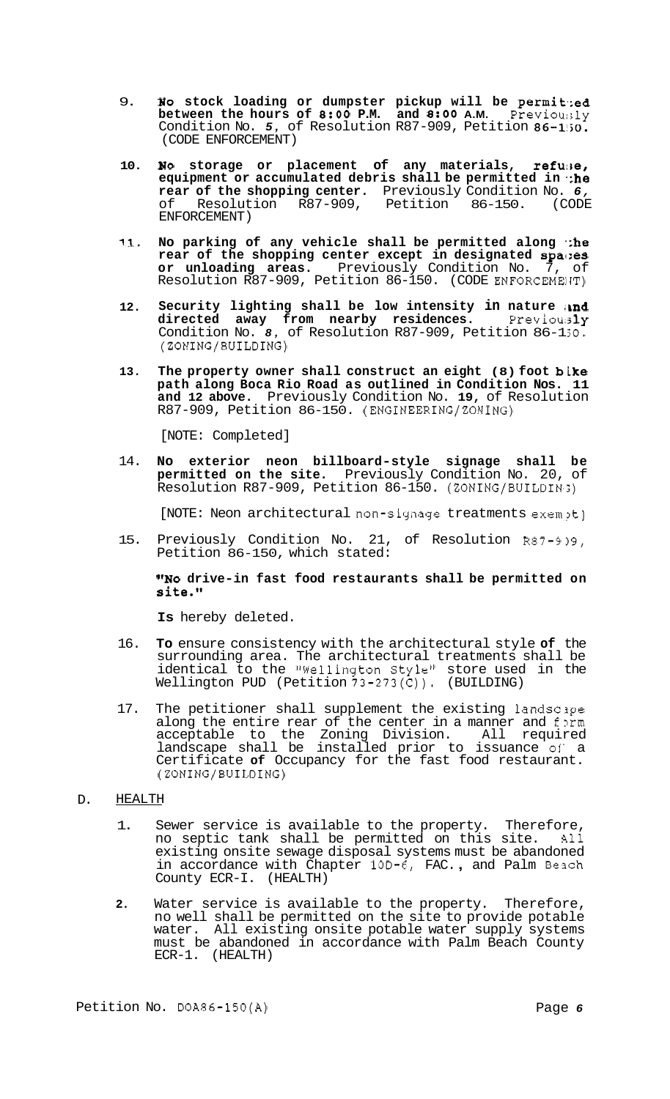- 9. **Bo** stock loading or dumpster pickup will be permited **between the hours of 8:OO P.M. and 8:OO A.M.** Previour;ly Condition No. *5,* of Resolution R87-909, Petition 86-1!jO. (CODE ENFORCEMENT)
- **10. blo** storage or placement of any materials, refuse, **equipment or accumulated debris shall be permitted in \*;he rear of the shopping center.** Previously Condition No. *6,*  of Resolution R87-909, Petition 86-150. (CODE ENFORCEMENT)
- 11. No parking of any vehicle shall be permitted along  $\therefore$ he **rear of the shopping center except in designated spa1:es or unloading areas.** Previously Condition No. 7, of Resolution R87-909, Petition 86-150. (CODE ENFORCEMEIJT)
- **12.**  Security lighting shall be low intensity in nature and **directed away from nearby residences.** Previou; 3ly Condition No. 8, of Resolution R87-909, Petition 86-1;0. (ZONING/BUILDING)
- **13. The property owner shall construct an eight (8) foot bike path along Boca Rio Road as outlined in Condition Nos. 11 and 12 above.** Previously Condition No. **19,** of Resolution R87-909, Petition 86-150. (ENGINEERING/ZONING)

[NOTE: Completed]

14. **No exterior neon billboard-style signage shall be permitted on the site.** Previously Condition No. 20, of Resolution R87-909, Petition 86-150. (ZONING/BUILDIN~;)

[NOTE: Neon architectural non-signage treatments exempt]

15. Previously Condition No. 21, of Resolution R87-9 **19,**  Petition 86-150, which stated:

**"NO drive-in fast food restaurants shall be permitted on site."** 

**Is** hereby deleted.

- 16. **To** ensure consistency with the architectural style **of** the surrounding area. The architectural treatments shall be identical to the "Wellington Style" store used in the Wellington PUD (Petition  $73-273(C)$ ). (BUILDING)
- 17. The petitioner shall supplement the existing landsclpe along the entire rear of the center in a manner and form acceptable to the Zoning Division. All required landscape shall be installed prior to issuance of a Certificate **of** Occupancy for the fast food restaurant. (ZONING/BUILDING)

#### D. HEALTH

- 1. Sewer service is available to the property. Therefore,<br>no septic tank shall be permitted on this site. All no septic tank shall be permitted on this site. existing onsite sewage disposal systems must be abandoned in accordance with Chapter 10D-6, FAC., and Palm Beach County ECR-I. (HEALTH)
- **2.** Water service is available to the property. Therefore, no well shall be permitted on the site to provide potable water. All existing onsite potable water supply systems must be abandoned in accordance with Palm Beach County ECR-1. (HEALTH)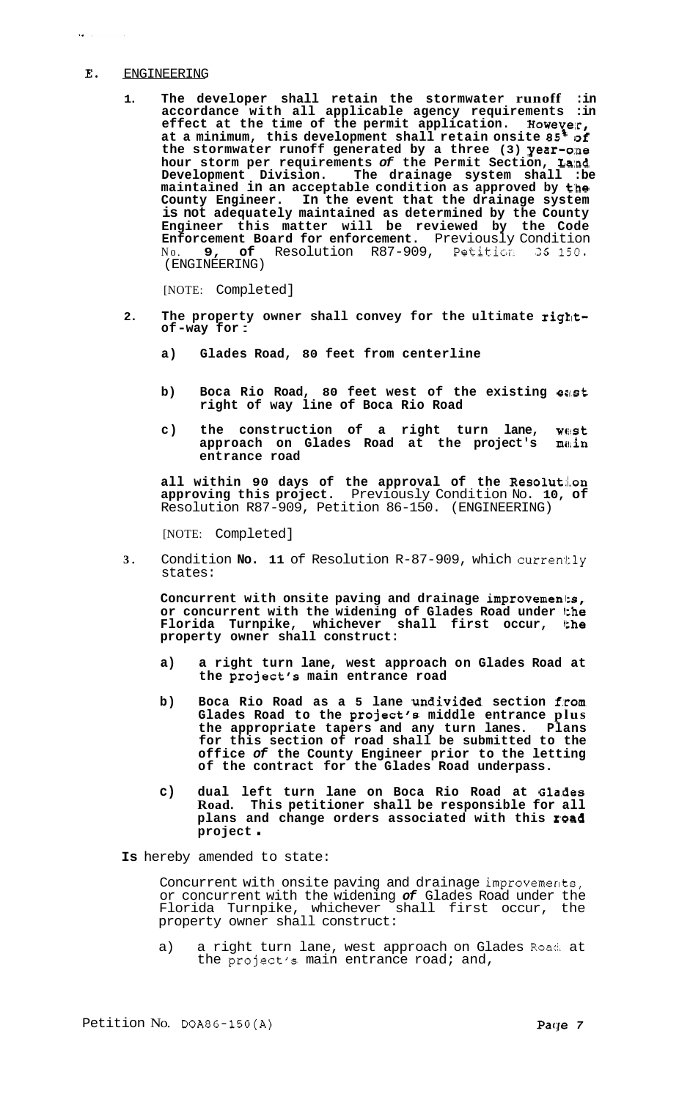### **E.** ENGINEERING

 $\tilde{G}$  ,  $\tilde{G}$ 

**1. The developer shall retain the stormwater runoff :in accordance with all applicable agency requirements :in effect at the time of the permit application. Howevelr, at a minimum, this development shall retain onsite** *85%* **[of the stormwater runoff generated by a three (3) year-o:ne hour storm per requirements** *of* **the Permit Section, La:nd Development Division. The drainage system shall :be maintained in an acceptable condition as approved by t'he County Engineer. In the event that the drainage system is not adequately maintained as determined by the County Engineer this matter will be reviewed by the Code Enforcement Board for enforcement.** Previously Condition No. **9, of** Resolution R87-909, Petition 36 150. (ENGINEERING)

[NOTE: Completed]

- **2. The property owner shall convey for the ultimate right-of -way for** :
	- **a) Glades Road, 80 feet from centerline**
	- **b) Boca Rio Road, 80 feet west of the existing east right of way line of Boca Rio Road**
	- **c) the construction of a right turn lane, wwst approach on Glades Road at the project's m&in entrance road**

**all within 90 days of the approval of the Resolut:i.on approving this project.** Previously Condition No. **10, of**  Resolution R87-909, Petition 86-150. (ENGINEERING)

[NOTE: Completed]

**3.** Condition **No. 11** of Resolution R-87-909, which currently states:

**Concurrent with onsite paving and drainage improvemenl:s,**  or concurrent with the widening of Glades Road under the **Florida Turnpike, whichever shall first occur, Ithe property owner shall construct:** 

- **a) a right turn lane, west approach on Glades Road at the project's main entrance road**
- b) Boca Rio Road as a 5 lane undivided section from **Glades Road to the project's middle entrance plus the appropriate tapers and any turn lanes. Plans for this section of road shall be submitted to the office** *of* **the County Engineer prior to the letting of the contract for the Glades Road underpass.**
- **c) dual left turn lane on Boca Rio Road at Gla.des Road. This petitioner shall be responsible for all plans and change orders associated with this r,oad project** .

**Is** hereby amended to state:

Concurrent with onsite paving and drainage improvements, or concurrent with the widening *of* Glades Road under the Florida Turnpike, whichever shall first occur, the property owner shall construct:

a) a right turn lane, west approach on Glades Road at the project's main entrance road; and,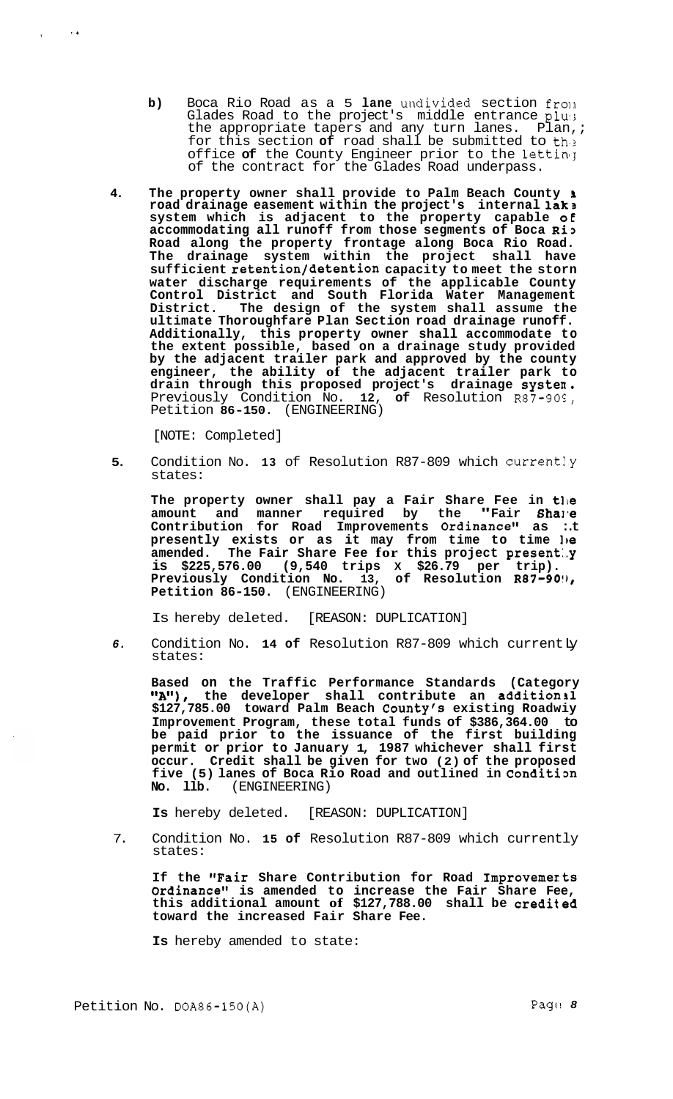- **b)** Boca Rio Road as a 5 lane undivided section from Glades Road to the project's middle entrance plus the appropriate tapers and any turn lanes. Plan, ; for this section **of** road shall be submitted to th.2 office of the County Engineer prior to the letting of the contract for the Glades Road underpass.
- **4. The property owner shall provide to Palm Beach County i road drainage easement within the project's internal lak3 system which is adjacent to the property capable oE accommodating all runoff from those segments of Boca Ri3 Road along the property frontage along Boca Rio Road. The drainage system within the project shall have sufficient retention/detention capacity to meet the storn water discharge requirements of the applicable County Control District and South Florida Water Management District. The design of the system shall assume the ultimate Thoroughfare Plan Section road drainage runoff. Additionally, this property owner shall accommodate to the extent possible, based on a drainage study provided by the adjacent trailer park and approved by the county engineer, the ability of the adjacent trailer park to drain through this proposed project's drainage systen.**  Previously Condition No. 12, of Resolution R87-90S, Petition **86-150.** (ENGINEERING)

[NOTE: Completed]

, ... , ... , ... , ... , ... , ... , ... , ... , ... , ... , ... , ... , ... , ... , ... , ... , ... , ... , ... , ... , ... , ... , ... , ... , ... , ... , ... , ... , ... , ... , ... , ... , ... , ... , ... , ... , ...

**5.** Condition No. **13** of Resolution R87-809 which current!y states:

The property owner shall pay a Fair Share Fee in the amount and manner required by the **"Fair Sha**J'e **Contribution for Road Improvements Ordinance" as :.t**  presently exists or as it may from time to time le **amended. The Fair Share Fee for this project present:.y is \$225,576.00 (9,540 trips X \$26.79 per trip). Previously Condition No. 13, of Resolution R87-90!), Petition 86-150.** (ENGINEERING)

Is hereby deleted. [REASON: DUPLICATION]

*6.* Condition No. **14 of** Resolution R87-809 which current Ly states:

Based on the Traffic Performance Standards (Category **"A")**, the developer shall contribute an additionil **9eA1'), the developer shall contribute an additions1 \$127,785.00 toward Palm Beach County's existing Roadwiy Improvement Program, these total funds of \$386,364.00 to be paid prior to the issuance of the first building permit or prior to January 1, 1987 whichever shall first occur. Credit shall be given for two (2) of the proposed**  five (5) lanes of Boca Rio Road and outlined in Condition **No.** 11b. (ENGINEERING) **No. llb.** (ENGINEERING)

**Is** hereby deleted. [REASON: DUPLICATION]

7. Condition No. **15 of** Resolution R87-809 which currently states:

**If the "Fair Share Contribution for Road Improvemerts Ordinance" is amended to increase the Fair Share Fee, this additional amount of \$127,788.00 shall be credited toward the increased Fair Share Fee.** 

**Is** hereby amended to state: